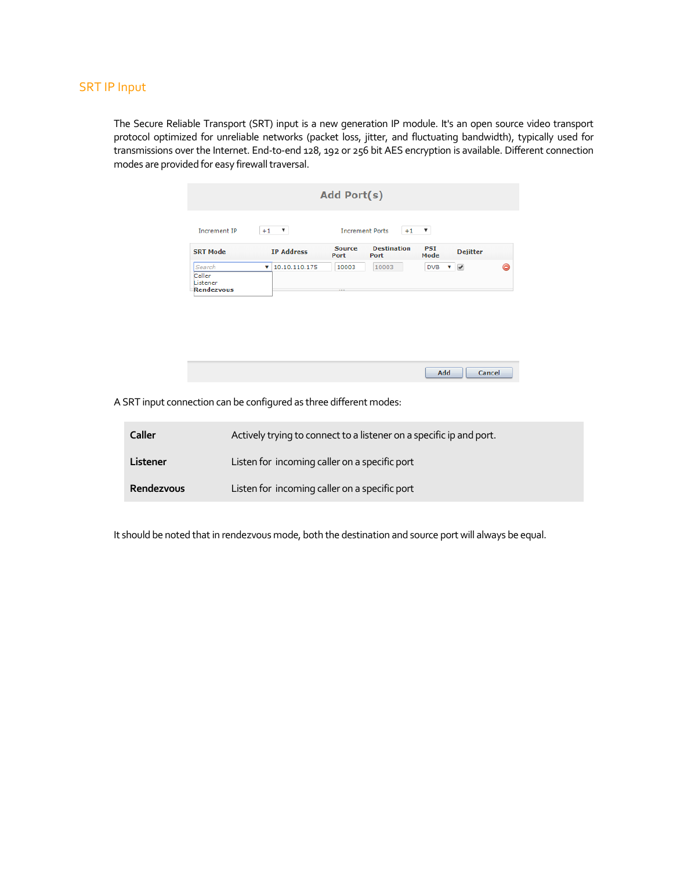## SRT IP Input

 $\mathcal{L}$ 

The Secure Reliable Transport (SRT) input is a new generation IP module. It's an open source video transport protocol optimized for unreliable networks (packet loss, jitter, and fluctuating bandwidth), typically used for transmissions over the Internet. End-to-end 128, 192 or 256 bit AES encryption is available. Different connection modes are provided for easy firewall traversal.

|                                            |                    | Add Port(s)           |                                |                    |                                |  |
|--------------------------------------------|--------------------|-----------------------|--------------------------------|--------------------|--------------------------------|--|
| <b>Increment IP</b>                        | ▼<br>$+1$          |                       | <b>Increment Ports</b><br>$+1$ | ▼                  |                                |  |
| <b>SRT Mode</b>                            | <b>IP Address</b>  | <b>Source</b><br>Port | <b>Destination</b><br>Port     | <b>PSI</b><br>Mode | <b>Dejitter</b>                |  |
| Search<br>Caller<br>Listener<br>Rendezvous | 10.10.110.175<br>v | 10003                 | 10003                          | <b>DVB</b>         | $\overline{\mathcal{C}}$<br>v. |  |

| Add |
|-----|
|     |
|     |

A SRT input connection can be configured as three different modes:

| <b>Caller</b> | Actively trying to connect to a listener on a specific ip and port. |
|---------------|---------------------------------------------------------------------|
| Listener      | Listen for incoming caller on a specific port                       |
| Rendezvous    | Listen for incoming caller on a specific port                       |

It should be noted that in rendezvous mode, both the destination and source port will always be equal.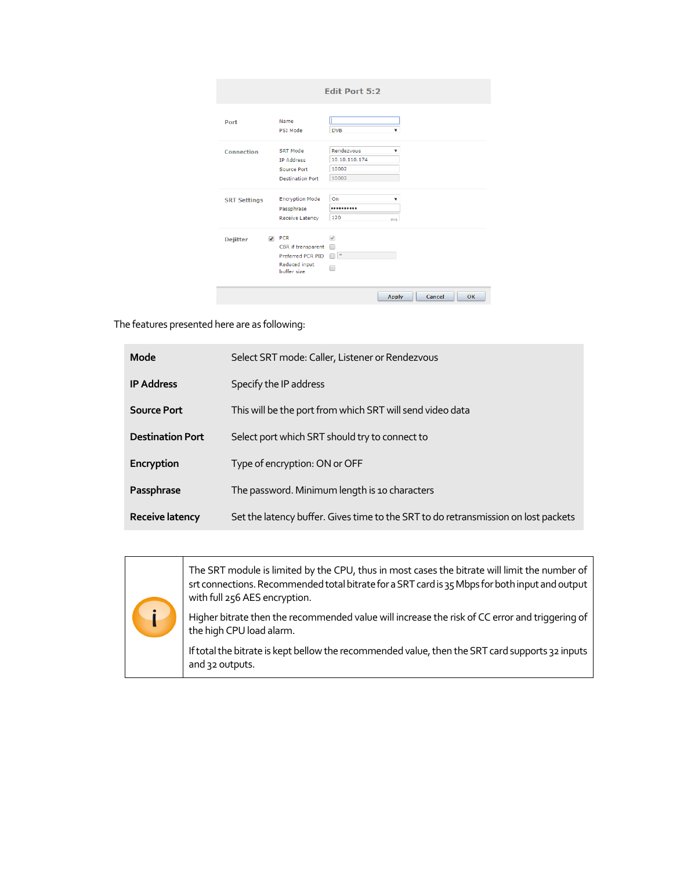|                     |                                                                                                      | <b>Edit Port 5:2</b>                                   |
|---------------------|------------------------------------------------------------------------------------------------------|--------------------------------------------------------|
| Port                | Name<br>PSI Mode                                                                                     | <b>DVB</b><br>v                                        |
| <b>Connection</b>   | SRT Mode<br><b>IP Address</b><br>Source Port<br><b>Destination Port</b>                              | Rendezvous<br>۷<br>10.10.110.174<br>10002<br>10002     |
| <b>SRT Settings</b> | <b>Encryption Mode</b><br>Passphrase<br>Receive Latency                                              | O <sub>n</sub><br>v<br><br>120<br>ms                   |
| <b>Dejitter</b>     | $\blacktriangleright$ PCR<br>CBR if transparent<br>Preferred PCR PID<br>Reduced input<br>buffer size | $\overline{\mathscr{L}}$<br>m<br>$\ast$<br>$\Box$<br>┓ |

The features presented here are as following:

| Mode                    | Select SRT mode: Caller, Listener or Rendezvous                                    |  |
|-------------------------|------------------------------------------------------------------------------------|--|
| <b>IP Address</b>       | Specify the IP address                                                             |  |
| <b>Source Port</b>      | This will be the port from which SRT will send video data                          |  |
| <b>Destination Port</b> | Select port which SRT should try to connect to                                     |  |
| Encryption              | Type of encryption: ON or OFF                                                      |  |
| Passphrase              | The password. Minimum length is 10 characters                                      |  |
| Receive latency         | Set the latency buffer. Gives time to the SRT to do retransmission on lost packets |  |

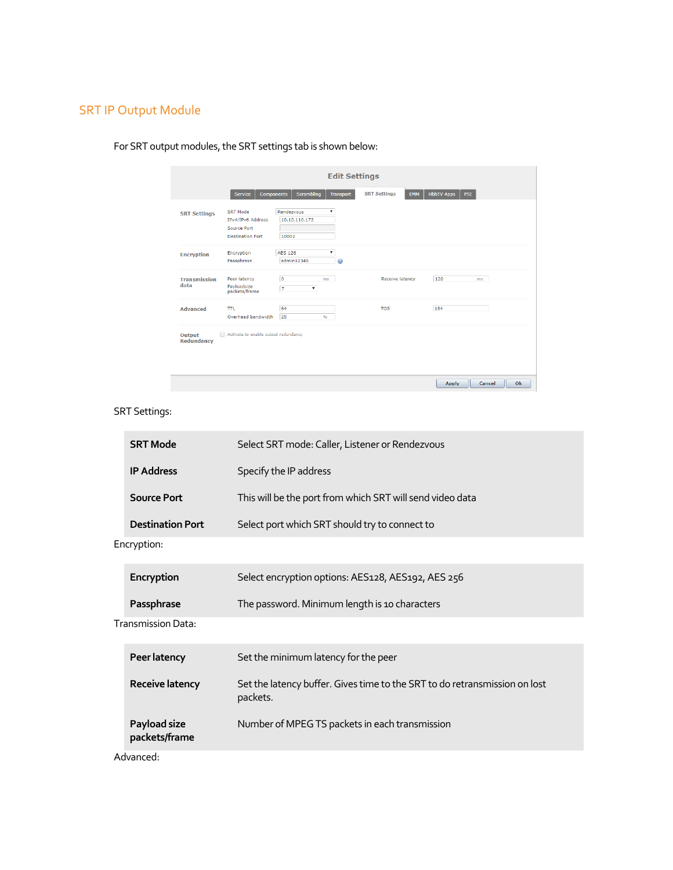## SRT IP Output Module

|                             |                                                                         | <b>Edit Settings</b>                                   |                                   |                                 |
|-----------------------------|-------------------------------------------------------------------------|--------------------------------------------------------|-----------------------------------|---------------------------------|
|                             | Service<br>Components                                                   | Scrambling<br><b>Transport</b>                         | <b>SRT Settings</b><br><b>EMM</b> | <b>HbbTV Apps</b><br><b>PSI</b> |
| <b>SRT Settings</b>         | SRT Mode<br>IPv4/IPv6 Address<br>Source Port<br><b>Destination Port</b> | Rendezvous<br>▼<br>10.10.110.173<br>10002              |                                   |                                 |
| <b>Encryption</b>           | Encryption<br>Passphrase                                                | <b>AES 128</b><br>۳.<br>admin12345                     |                                   |                                 |
| <b>Transmission</b><br>data | Peer latency<br>Payloadsize<br>packets/frame                            | o<br>ms<br>$\overline{7}$<br>$\boldsymbol{\mathrm{v}}$ | <b>Receive latency</b>            | 120<br>ms                       |
| <b>Advanced</b>             | <b>TTL</b><br>Overhead bandwidth                                        | 64<br>25<br>$\frac{9}{6}$                              | <b>TOS</b>                        | 184                             |
| Output<br><b>Redundancy</b> | Activate to enable output redundancy                                    |                                                        |                                   |                                 |
|                             |                                                                         |                                                        |                                   | Cancel<br>Ok<br><b>Apply</b>    |

For SRT output modules, the SRT settings tab is shown below:

## SRT Settings:

|                   | <b>SRT Mode</b>               | Select SRT mode: Caller, Listener or Rendezvous                                        |  |  |
|-------------------|-------------------------------|----------------------------------------------------------------------------------------|--|--|
| <b>IP Address</b> |                               | Specify the IP address                                                                 |  |  |
|                   | <b>Source Port</b>            | This will be the port from which SRT will send video data                              |  |  |
|                   | <b>Destination Port</b>       | Select port which SRT should try to connect to                                         |  |  |
|                   | Encryption:                   |                                                                                        |  |  |
|                   | Encryption                    | Select encryption options: AES128, AES192, AES 256                                     |  |  |
|                   | Passphrase                    | The password. Minimum length is 10 characters                                          |  |  |
|                   | Transmission Data:            |                                                                                        |  |  |
|                   | Peer latency                  | Set the minimum latency for the peer                                                   |  |  |
|                   |                               |                                                                                        |  |  |
|                   | <b>Receive latency</b>        | Set the latency buffer. Gives time to the SRT to do retransmission on lost<br>packets. |  |  |
|                   | Payload size<br>packets/frame | Number of MPEG TS packets in each transmission                                         |  |  |

Advanced: